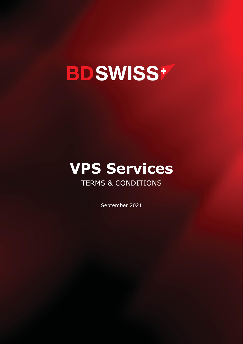## **BDSWISS+**

# **VPS Services**

## TERMS & CONDITIONS

September 2021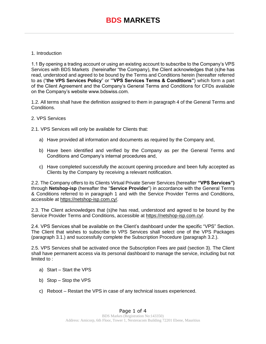### **BDS MARKETS**

#### 1. Introduction

1.1 By opening a trading account or using an existing account to subscribe to the Company's VPS Services with BDS Markets (hereinafter "the Company), the Client acknowledges that (s)he has read, understood and agreed to be bound by the Terms and Conditions herein (hereafter referred to as ("**the VPS Services Policy**" or "**'VPS Services Terms & Conditions"**) which form a part of the Client Agreement and the Company's General Terms and Conditions for CFDs available on the Company's website www.bdswiss.com.

1.2. All terms shall have the definition assigned to them in paragraph 4 of the General Terms and Conditions.

#### 2. VPS Services

2.1. VPS Services will only be available for Clients that:

- a) Have provided all information and documents as required by the Company and,
- b) Have been identified and verified by the Company as per the General Terms and Conditions and Company's internal procedures and,
- c) Have completed successfully the account opening procedure and been fully accepted as Clients by the Company by receiving a relevant notification.

2.2. The Company offers to its Clients Virtual Private Server Services (hereafter **"VPS Services")** through **Netshop-isp** (hereafter the "**Service Provider**") in accordance with the General Terms & Conditions referred to in paragraph 1 and with the Service Provider Terms and Conditions, accessible a[t](https://netshop-isp.com.cy/) [https://netshop-isp.com.cy/.](https://netshop-isp.com.cy/)

2.3. The Client acknowledges that (s)he has read, understood and agreed to be bound by the Service Provider Terms and Conditions, accessible a[t](https://netshop-isp.com.cy/) [https://netshop-isp.com.cy/.](https://netshop-isp.com.cy/)

2.4. VPS Services shall be available on the Client's dashboard under the specific "VPS" Section. The Client that wishes to subscribe to VPS Services shall select one of the VPS Packages (paragraph 3.1.) and successfully complete the Subscription Procedure (paragraph 3.2.).

2.5. VPS Services shall be activated once the Subscription Fees are paid (section 3). The Client shall have permanent access via its personal dashboard to manage the service, including but not limited to :

- a) Start Start the VPS
- b) Stop Stop the VPS
- c) Reboot Restart the VPS in case of any technical issues experienced.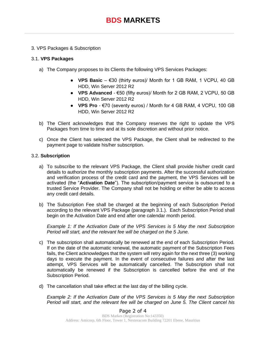#### 3. VPS Packages & Subscription

#### 3.1. **VPS Packages**

- a) The Company proposes to its Clients the following VPS Services Packages:
	- **VPS Basic** €30 (thirty euros)/ Month for 1 GB RAM, 1 VCPU, 40 GB HDD, Win Server 2012 R2
	- **VPS Advanced** €50 (fifty euros)/ Month for 2 GB RAM, 2 VCPU, 50 GB HDD, Win Server 2012 R2
	- **VPS Pro** €70 (seventy euros) / Month for 4 GB RAM, 4 VCPU, 100 GB HDD, Win Server 2012 R2
- b) The Client acknowledges that the Company reserves the right to update the VPS Packages from time to time and at its sole discretion and without prior notice.
- c) Once the Client has selected the VPS Package, the Client shall be redirected to the payment page to validate his/her subscription.

#### 3.2. **Subscription**

- a) To subscribe to the relevant VPS Package, the Client shall provide his/her credit card details to authorize the monthly subscription payments. After the successful authorization and verification process of the credit card and the payment, the VPS Services will be activated (the "**Activation Date**"). The subscription/payment service is outsourced to a trusted Service Provider. The Company shall not be holding or either be able to access any credit card details.
- b) The Subscription Fee shall be charged at the beginning of each Subscription Period according to the relevant VPS Package (paragraph 3.1.). Each Subscription Period shall begin on the Activation Date and end after one calendar month period.

*Example 1: If the Activation Date of the VPS Services is 5 May the next Subscription Period will start, and the relevant fee will be charged on the 5 June.*

- c) The subscription shall automatically be renewed at the end of each Subscription Period. If on the date of the automatic renewal, the automatic payment of the Subscription Fees fails, the Client acknowledges that the system will retry again for the next three (3) working days to execute the payment. In the event of consecutive failures and after the last attempt, VPS Services will be automatically cancelled. The Subscription shall not automatically be renewed if the Subscription is cancelled before the end of the Subscription Period.
- d) The cancellation shall take effect at the last day of the billing cycle.

*Example 2: If the Activation Date of the VPS Services is 5 May the next Subscription Period will start, and the relevant fee will be charged on June 5. The Client cancel his*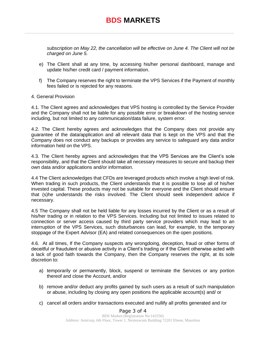### **BDS MARKETS**

*subscription on May 22, the cancellation will be effective on June 4. The Client will not be charged on June 5.*

- e) The Client shall at any time, by accessing his/her personal dashboard, manage and update his/her credit card / payment information.
- f) The Company reserves the right to terminate the VPS Services if the Payment of monthly fees failed or is rejected for any reasons.

#### 4. General Provision

4.1. The Client agrees and acknowledges that VPS hosting is controlled by the Service Provider and the Company shall not be liable for any possible error or breakdown of the hosting service including, but not limited to any communication/data failure, system error.

4.2. The Client hereby agrees and acknowledges that the Company does not provide any guarantee of the data/application and all relevant data that is kept on the VPS and that the Company does not conduct any backups or provides any service to safeguard any data and/or information held on the VPS.

4.3. The Client hereby agrees and acknowledges that the VPS Services are the Client's sole responsibility, and that the Client should take all necessary measures to secure and backup their own data and/or applications and/or information.

4.4 The Client acknowledges that CFDs are leveraged products which involve a high level of risk. When trading in such products, the Client understands that it is possible to lose all of his/her invested capital. These products may not be suitable for everyone and the Client should ensure that (s)he understands the risks involved. The Client should seek independent advice if necessary.

4.5 The Company shall not be held liable for any losses incurred by the Client or as a result of his/her trading or in relation to the VPS Services. Including but not limited to issues related to connection or server access caused by third party service providers which may lead to an interruption of the VPS Services, such disturbances can lead, for example, to the temporary stoppage of the Expert Advisor (EA) and related consequences on the open positions.

4.6. At all times, If the Company suspects any wrongdoing, deception, fraud or other forms of deceitful or fraudulent or abusive activity in a Client's trading or if the Client otherwise acted with a lack of good faith towards the Company, then the Company reserves the right, at its sole discretion to:

- a) temporarily or permanently, block, suspend or terminate the Services or any portion thereof and close the Account, and/or
- b) remove and/or deduct any profits gained by such users as a result of such manipulation or abuse, including by closing any open positions the applicable account(s) and/ or
- c) cancel all orders and/or transactions executed and nullify all profits generated and /or